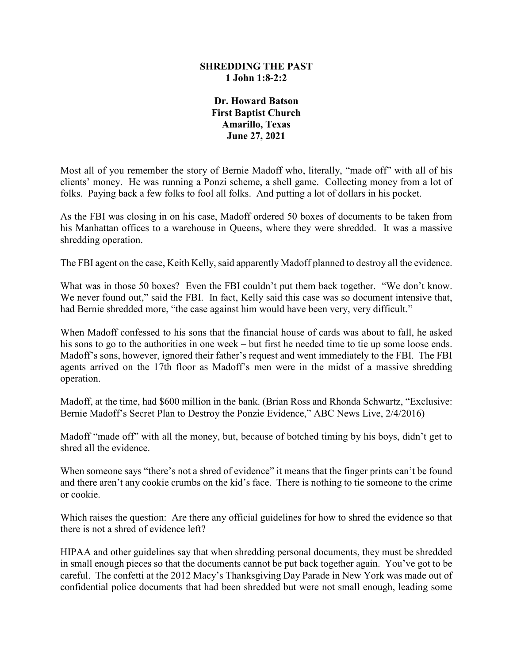## **SHREDDING THE PAST 1 John 1:8-2:2**

**Dr. Howard Batson First Baptist Church Amarillo, Texas June 27, 2021**

Most all of you remember the story of Bernie Madoff who, literally, "made off" with all of his clients' money. He was running a Ponzi scheme, a shell game. Collecting money from a lot of folks. Paying back a few folks to fool all folks. And putting a lot of dollars in his pocket.

As the FBI was closing in on his case, Madoff ordered 50 boxes of documents to be taken from his Manhattan offices to a warehouse in Queens, where they were shredded. It was a massive shredding operation.

The FBI agent on the case, Keith Kelly, said apparently Madoff planned to destroy all the evidence.

What was in those 50 boxes? Even the FBI couldn't put them back together. "We don't know. We never found out," said the FBI. In fact, Kelly said this case was so document intensive that, had Bernie shredded more, "the case against him would have been very, very difficult."

When Madoff confessed to his sons that the financial house of cards was about to fall, he asked his sons to go to the authorities in one week – but first he needed time to tie up some loose ends. Madoff's sons, however, ignored their father's request and went immediately to the FBI. The FBI agents arrived on the 17th floor as Madoff's men were in the midst of a massive shredding operation.

Madoff, at the time, had \$600 million in the bank. (Brian Ross and Rhonda Schwartz, "Exclusive: Bernie Madoff's Secret Plan to Destroy the Ponzie Evidence," ABC News Live, 2/4/2016)

Madoff "made off" with all the money, but, because of botched timing by his boys, didn't get to shred all the evidence.

When someone says "there's not a shred of evidence" it means that the finger prints can't be found and there aren't any cookie crumbs on the kid's face. There is nothing to tie someone to the crime or cookie.

Which raises the question: Are there any official guidelines for how to shred the evidence so that there is not a shred of evidence left?

HIPAA and other guidelines say that when shredding personal documents, they must be shredded in small enough pieces so that the documents cannot be put back together again. You've got to be careful. The confetti at the 2012 Macy's Thanksgiving Day Parade in New York was made out of confidential police documents that had been shredded but were not small enough, leading some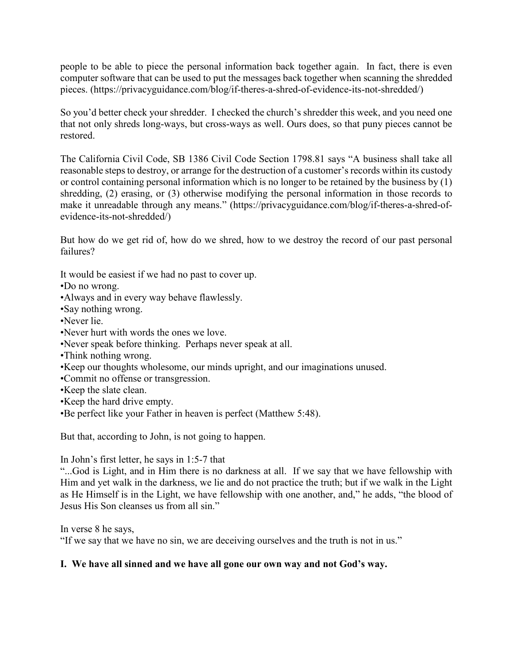people to be able to piece the personal information back together again. In fact, there is even computer software that can be used to put the messages back together when scanning the shredded pieces. (https://privacyguidance.com/blog/if-theres-a-shred-of-evidence-its-not-shredded/)

So you'd better check your shredder. I checked the church's shredder this week, and you need one that not only shreds long-ways, but cross-ways as well. Ours does, so that puny pieces cannot be restored.

The California Civil Code, SB 1386 Civil Code Section 1798.81 says "A business shall take all reasonable steps to destroy, or arrange for the destruction of a customer's records within its custody or control containing personal information which is no longer to be retained by the business by (1) shredding, (2) erasing, or (3) otherwise modifying the personal information in those records to make it unreadable through any means." (https://privacyguidance.com/blog/if-theres-a-shred-ofevidence-its-not-shredded/)

But how do we get rid of, how do we shred, how to we destroy the record of our past personal failures?

It would be easiest if we had no past to cover up.

•Do no wrong.

- •Always and in every way behave flawlessly.
- •Say nothing wrong.
- •Never lie.
- •Never hurt with words the ones we love.
- •Never speak before thinking. Perhaps never speak at all.
- •Think nothing wrong.
- •Keep our thoughts wholesome, our minds upright, and our imaginations unused.
- •Commit no offense or transgression.
- •Keep the slate clean.
- •Keep the hard drive empty.
- •Be perfect like your Father in heaven is perfect (Matthew 5:48).

But that, according to John, is not going to happen.

In John's first letter, he says in 1:5-7 that

"...God is Light, and in Him there is no darkness at all. If we say that we have fellowship with Him and yet walk in the darkness, we lie and do not practice the truth; but if we walk in the Light as He Himself is in the Light, we have fellowship with one another, and," he adds, "the blood of Jesus His Son cleanses us from all sin."

In verse 8 he says,

"If we say that we have no sin, we are deceiving ourselves and the truth is not in us."

## **I. We have all sinned and we have all gone our own way and not God's way.**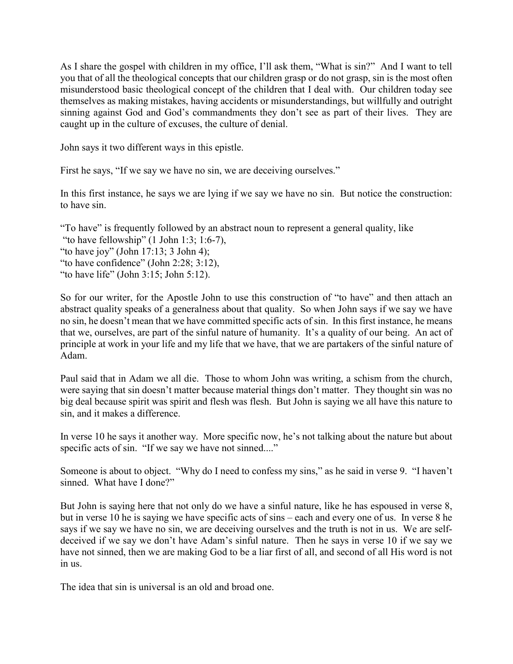As I share the gospel with children in my office, I'll ask them, "What is sin?" And I want to tell you that of all the theological concepts that our children grasp or do not grasp, sin is the most often misunderstood basic theological concept of the children that I deal with. Our children today see themselves as making mistakes, having accidents or misunderstandings, but willfully and outright sinning against God and God's commandments they don't see as part of their lives. They are caught up in the culture of excuses, the culture of denial.

John says it two different ways in this epistle.

First he says, "If we say we have no sin, we are deceiving ourselves."

In this first instance, he says we are lying if we say we have no sin. But notice the construction: to have sin.

"To have" is frequently followed by an abstract noun to represent a general quality, like

"to have fellowship"  $(1$  John 1:3; 1:6-7),

"to have joy" (John 17:13; 3 John 4);

"to have confidence" (John 2:28; 3:12),

"to have life" (John 3:15; John 5:12).

So for our writer, for the Apostle John to use this construction of "to have" and then attach an abstract quality speaks of a generalness about that quality. So when John says if we say we have no sin, he doesn't mean that we have committed specific acts of sin. In this first instance, he means that we, ourselves, are part of the sinful nature of humanity. It's a quality of our being. An act of principle at work in your life and my life that we have, that we are partakers of the sinful nature of Adam.

Paul said that in Adam we all die. Those to whom John was writing, a schism from the church, were saying that sin doesn't matter because material things don't matter. They thought sin was no big deal because spirit was spirit and flesh was flesh. But John is saying we all have this nature to sin, and it makes a difference.

In verse 10 he says it another way. More specific now, he's not talking about the nature but about specific acts of sin. "If we say we have not sinned...."

Someone is about to object. "Why do I need to confess my sins," as he said in verse 9. "I haven't sinned. What have I done?"

But John is saying here that not only do we have a sinful nature, like he has espoused in verse 8, but in verse 10 he is saying we have specific acts of sins – each and every one of us. In verse 8 he says if we say we have no sin, we are deceiving ourselves and the truth is not in us. We are selfdeceived if we say we don't have Adam's sinful nature. Then he says in verse 10 if we say we have not sinned, then we are making God to be a liar first of all, and second of all His word is not in us.

The idea that sin is universal is an old and broad one.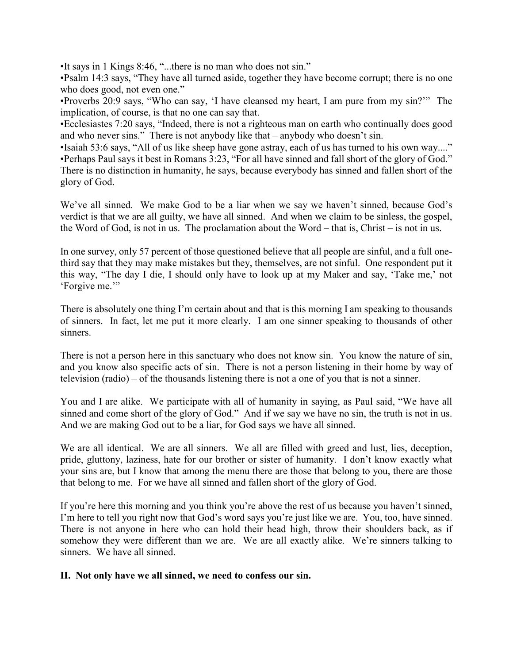•It says in 1 Kings 8:46, "...there is no man who does not sin."

•Psalm 14:3 says, "They have all turned aside, together they have become corrupt; there is no one who does good, not even one."

•Proverbs 20:9 says, "Who can say, 'I have cleansed my heart, I am pure from my sin?'" The implication, of course, is that no one can say that.

•Ecclesiastes 7:20 says, "Indeed, there is not a righteous man on earth who continually does good and who never sins." There is not anybody like that – anybody who doesn't sin.

•Isaiah 53:6 says, "All of us like sheep have gone astray, each of us has turned to his own way...." •Perhaps Paul says it best in Romans 3:23, "For all have sinned and fall short of the glory of God." There is no distinction in humanity, he says, because everybody has sinned and fallen short of the glory of God.

We've all sinned. We make God to be a liar when we say we haven't sinned, because God's verdict is that we are all guilty, we have all sinned. And when we claim to be sinless, the gospel, the Word of God, is not in us. The proclamation about the Word – that is, Christ – is not in us.

In one survey, only 57 percent of those questioned believe that all people are sinful, and a full onethird say that they may make mistakes but they, themselves, are not sinful. One respondent put it this way, "The day I die, I should only have to look up at my Maker and say, 'Take me,' not 'Forgive me.'"

There is absolutely one thing I'm certain about and that is this morning I am speaking to thousands of sinners. In fact, let me put it more clearly. I am one sinner speaking to thousands of other sinners.

There is not a person here in this sanctuary who does not know sin. You know the nature of sin, and you know also specific acts of sin. There is not a person listening in their home by way of television (radio) – of the thousands listening there is not a one of you that is not a sinner.

You and I are alike. We participate with all of humanity in saying, as Paul said, "We have all sinned and come short of the glory of God." And if we say we have no sin, the truth is not in us. And we are making God out to be a liar, for God says we have all sinned.

We are all identical. We are all sinners. We all are filled with greed and lust, lies, deception, pride, gluttony, laziness, hate for our brother or sister of humanity. I don't know exactly what your sins are, but I know that among the menu there are those that belong to you, there are those that belong to me. For we have all sinned and fallen short of the glory of God.

If you're here this morning and you think you're above the rest of us because you haven't sinned, I'm here to tell you right now that God's word says you're just like we are. You, too, have sinned. There is not anyone in here who can hold their head high, throw their shoulders back, as if somehow they were different than we are. We are all exactly alike. We're sinners talking to sinners. We have all sinned.

## **II. Not only have we all sinned, we need to confess our sin.**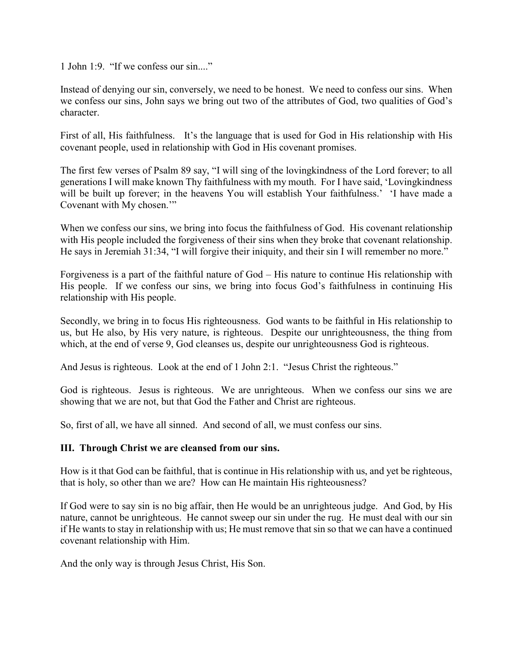1 John 1:9. "If we confess our sin...."

Instead of denying our sin, conversely, we need to be honest. We need to confess our sins. When we confess our sins, John says we bring out two of the attributes of God, two qualities of God's character.

First of all, His faithfulness. It's the language that is used for God in His relationship with His covenant people, used in relationship with God in His covenant promises.

The first few verses of Psalm 89 say, "I will sing of the lovingkindness of the Lord forever; to all generations I will make known Thy faithfulness with my mouth. For I have said, 'Lovingkindness will be built up forever; in the heavens You will establish Your faithfulness.' 'I have made a Covenant with My chosen.""

When we confess our sins, we bring into focus the faithfulness of God. His covenant relationship with His people included the forgiveness of their sins when they broke that covenant relationship. He says in Jeremiah 31:34, "I will forgive their iniquity, and their sin I will remember no more."

Forgiveness is a part of the faithful nature of God – His nature to continue His relationship with His people. If we confess our sins, we bring into focus God's faithfulness in continuing His relationship with His people.

Secondly, we bring in to focus His righteousness. God wants to be faithful in His relationship to us, but He also, by His very nature, is righteous. Despite our unrighteousness, the thing from which, at the end of verse 9, God cleanses us, despite our unrighteousness God is righteous.

And Jesus is righteous. Look at the end of 1 John 2:1. "Jesus Christ the righteous."

God is righteous. Jesus is righteous. We are unrighteous. When we confess our sins we are showing that we are not, but that God the Father and Christ are righteous.

So, first of all, we have all sinned. And second of all, we must confess our sins.

## **III. Through Christ we are cleansed from our sins.**

How is it that God can be faithful, that is continue in His relationship with us, and yet be righteous, that is holy, so other than we are? How can He maintain His righteousness?

If God were to say sin is no big affair, then He would be an unrighteous judge. And God, by His nature, cannot be unrighteous. He cannot sweep our sin under the rug. He must deal with our sin if He wants to stay in relationship with us; He must remove that sin so that we can have a continued covenant relationship with Him.

And the only way is through Jesus Christ, His Son.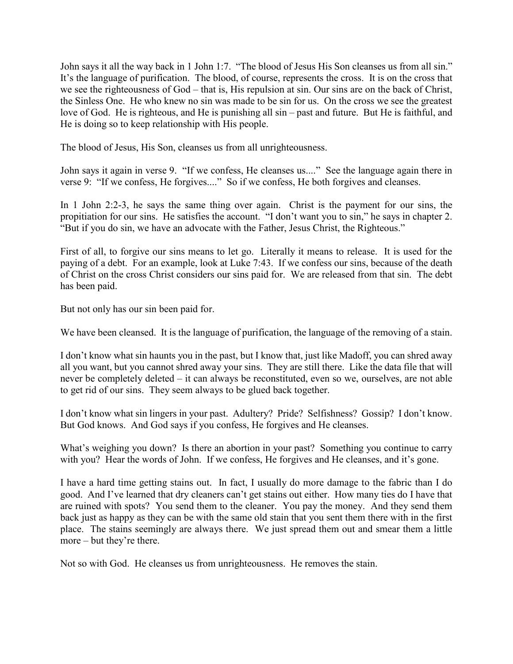John says it all the way back in 1 John 1:7. "The blood of Jesus His Son cleanses us from all sin." It's the language of purification. The blood, of course, represents the cross. It is on the cross that we see the righteousness of God – that is, His repulsion at sin. Our sins are on the back of Christ, the Sinless One. He who knew no sin was made to be sin for us. On the cross we see the greatest love of God. He is righteous, and He is punishing all sin – past and future. But He is faithful, and He is doing so to keep relationship with His people.

The blood of Jesus, His Son, cleanses us from all unrighteousness.

John says it again in verse 9. "If we confess, He cleanses us...." See the language again there in verse 9: "If we confess, He forgives...." So if we confess, He both forgives and cleanses.

In 1 John 2:2-3, he says the same thing over again. Christ is the payment for our sins, the propitiation for our sins. He satisfies the account. "I don't want you to sin," he says in chapter 2. "But if you do sin, we have an advocate with the Father, Jesus Christ, the Righteous."

First of all, to forgive our sins means to let go. Literally it means to release. It is used for the paying of a debt. For an example, look at Luke 7:43. If we confess our sins, because of the death of Christ on the cross Christ considers our sins paid for. We are released from that sin. The debt has been paid.

But not only has our sin been paid for.

We have been cleansed. It is the language of purification, the language of the removing of a stain.

I don't know what sin haunts you in the past, but I know that, just like Madoff, you can shred away all you want, but you cannot shred away your sins. They are still there. Like the data file that will never be completely deleted – it can always be reconstituted, even so we, ourselves, are not able to get rid of our sins. They seem always to be glued back together.

I don't know what sin lingers in your past. Adultery? Pride? Selfishness? Gossip? I don't know. But God knows. And God says if you confess, He forgives and He cleanses.

What's weighing you down? Is there an abortion in your past? Something you continue to carry with you? Hear the words of John. If we confess, He forgives and He cleanses, and it's gone.

I have a hard time getting stains out. In fact, I usually do more damage to the fabric than I do good. And I've learned that dry cleaners can't get stains out either. How many ties do I have that are ruined with spots? You send them to the cleaner. You pay the money. And they send them back just as happy as they can be with the same old stain that you sent them there with in the first place. The stains seemingly are always there. We just spread them out and smear them a little more – but they're there.

Not so with God. He cleanses us from unrighteousness. He removes the stain.